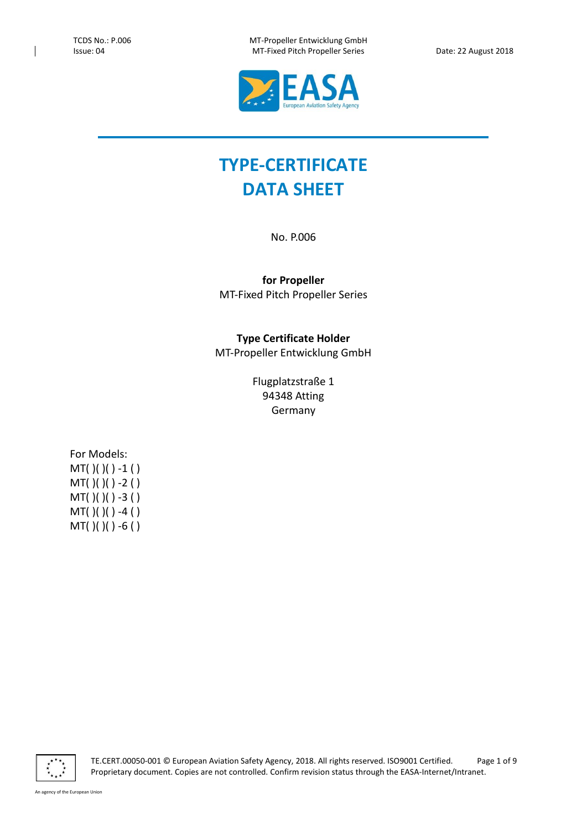

# **TYPE-CERTIFICATE DATA SHEET**

No. P.006

**for Propeller** MT-Fixed Pitch Propeller Series

### **Type Certificate Holder**

MT-Propeller Entwicklung GmbH

Flugplatzstraße 1 94348 Atting Germany

For Models: MT( $)( )$  )( $) -1$  ( $)$ MT( $)()( )$  -2() MT( )( )( ) -3 ( ) MT( $)( )$  ) ( $) -4$  () MT( $)( )$ ( $)$  -6()



TE.CERT.00050-001 © European Aviation Safety Agency, 2018. All rights reserved. ISO9001 Certified. Page 1 of 9 Proprietary document. Copies are not controlled. Confirm revision status through the EASA-Internet/Intranet.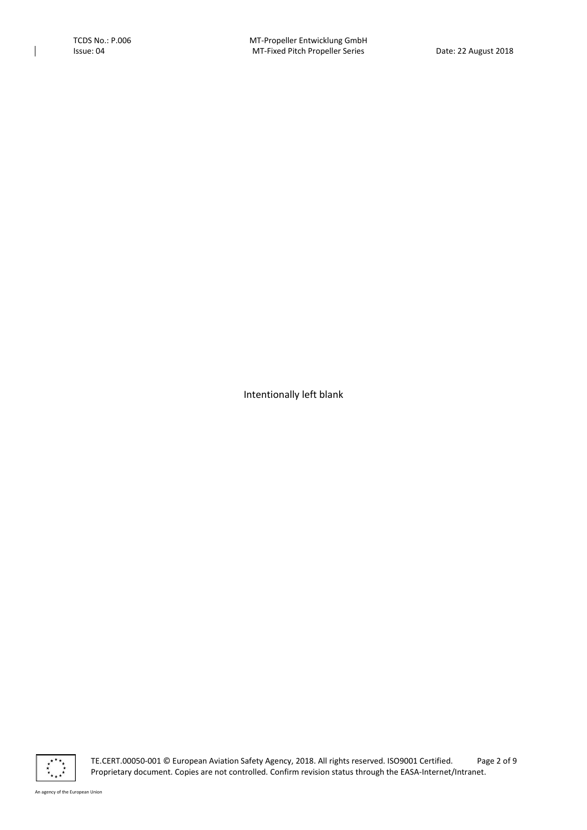Intentionally left blank



TE.CERT.00050-001 © European Aviation Safety Agency, 2018. All rights reserved. ISO9001 Certified. Page 2 of 9 Proprietary document. Copies are not controlled. Confirm revision status through the EASA-Internet/Intranet.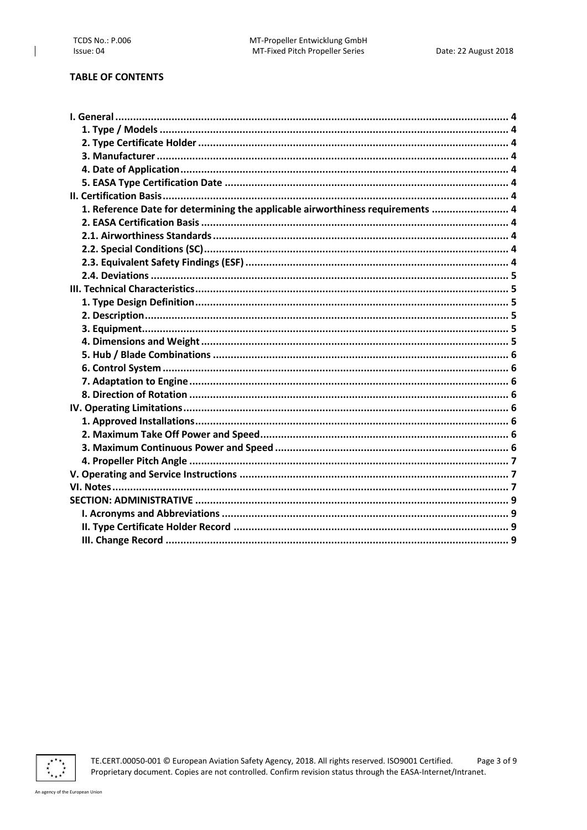#### **TABLE OF CONTENTS**

| 1. Reference Date for determining the applicable airworthiness requirements  4 |  |
|--------------------------------------------------------------------------------|--|
|                                                                                |  |
|                                                                                |  |
|                                                                                |  |
|                                                                                |  |
|                                                                                |  |
|                                                                                |  |
|                                                                                |  |
|                                                                                |  |
|                                                                                |  |
|                                                                                |  |
|                                                                                |  |
|                                                                                |  |
|                                                                                |  |
|                                                                                |  |
|                                                                                |  |
|                                                                                |  |
|                                                                                |  |
|                                                                                |  |
|                                                                                |  |
|                                                                                |  |
|                                                                                |  |
|                                                                                |  |
|                                                                                |  |
|                                                                                |  |
|                                                                                |  |
|                                                                                |  |

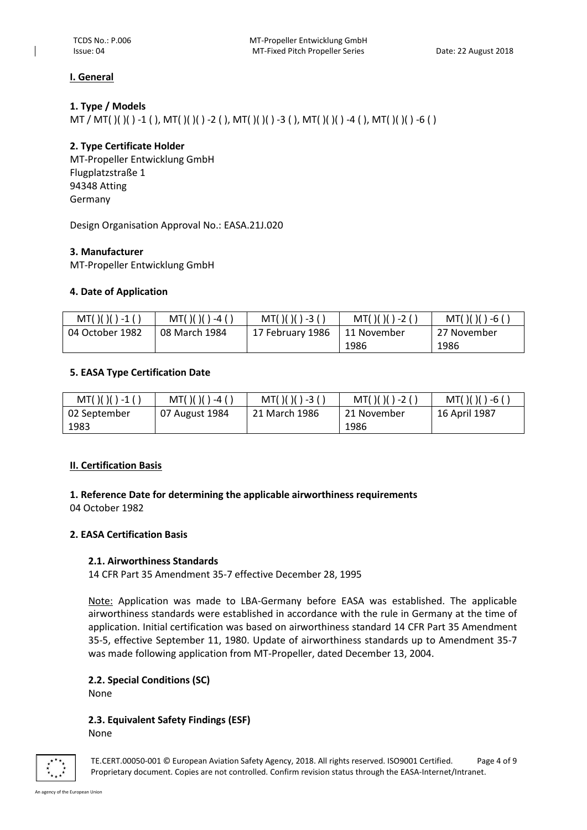#### <span id="page-3-0"></span>**I. General**

#### <span id="page-3-1"></span>**1. Type / Models** MT / MT( )( )( ) -1 ( ), MT( )( )( ) -2 ( ), MT( )( )( ) -3 ( ), MT( )( )( ) -4 ( ), MT( )( )( ) -6 ( )

#### <span id="page-3-2"></span>**2. Type Certificate Holder**

MT-Propeller Entwicklung GmbH Flugplatzstraße 1 94348 Atting Germany

Design Organisation Approval No.: EASA.21J.020

#### <span id="page-3-3"></span>**3. Manufacturer**

MT-Propeller Entwicklung GmbH

#### <span id="page-3-4"></span>**4. Date of Application**

| MT( )( )( ) -1 ( | MT( )( )( ) -4 ( | MT( )( )( ) -3 (                | $MT()()()$ -2 ( | MT( )( )( ) -6 ( |
|------------------|------------------|---------------------------------|-----------------|------------------|
| 04 October 1982  | 08 March 1984    | 17 February 1986<br>11 November |                 | 27 November      |
|                  |                  |                                 | 1986            | 1986             |

#### <span id="page-3-5"></span>**5. EASA Type Certification Date**

| MT( )( )( ) -1 ( | MT( )( )( ) -4 ( | MT( )( )( ) -3 ( | MT( )( )( ) -2 ( | MT( )( )( ) -6 ( |
|------------------|------------------|------------------|------------------|------------------|
| 02 September     | 07 August 1984   | 21 March 1986    | -21 November     | 16 April 1987    |
| 1983             |                  |                  | 1986             |                  |

#### <span id="page-3-6"></span>**II. Certification Basis**

# <span id="page-3-7"></span>**1. Reference Date for determining the applicable airworthiness requirements**

04 October 1982

#### <span id="page-3-8"></span>**2. EASA Certification Basis**

#### <span id="page-3-9"></span>**2.1. Airworthiness Standards**

14 CFR Part 35 Amendment 35-7 effective December 28, 1995

Note: Application was made to LBA-Germany before EASA was established. The applicable airworthiness standards were established in accordance with the rule in Germany at the time of application. Initial certification was based on airworthiness standard 14 CFR Part 35 Amendment 35-5, effective September 11, 1980. Update of airworthiness standards up to Amendment 35-7 was made following application from MT-Propeller, dated December 13, 2004.

## <span id="page-3-10"></span>**2.2. Special Conditions (SC)**

None

#### <span id="page-3-11"></span>**2.3. Equivalent Safety Findings (ESF)** None



TE.CERT.00050-001 © European Aviation Safety Agency, 2018. All rights reserved. ISO9001 Certified. Page 4 of 9 Proprietary document. Copies are not controlled. Confirm revision status through the EASA-Internet/Intranet.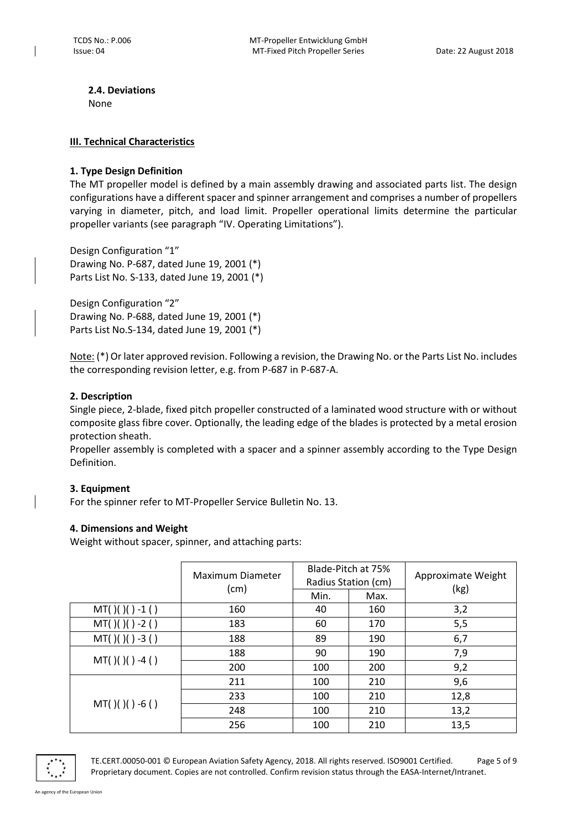<span id="page-4-0"></span>**2.4. Deviations**

None

#### <span id="page-4-1"></span>**III. Technical Characteristics**

#### <span id="page-4-2"></span>**1. Type Design Definition**

The MT propeller model is defined by a main assembly drawing and associated parts list. The design configurations have a different spacer and spinner arrangement and comprises a number of propellers varying in diameter, pitch, and load limit. Propeller operational limits determine the particular propeller variants (see paragraph "IV. Operating Limitations").

Design Configuration "1" Drawing No. P-687, dated June 19, 2001 (\*) Parts List No. S-133, dated June 19, 2001 (\*)

Design Configuration "2" Drawing No. P-688, dated June 19, 2001 (\*) Parts List No.S-134, dated June 19, 2001 (\*)

Note: (\*) Or later approved revision. Following a revision, the Drawing No. or the Parts List No. includes the corresponding revision letter, e.g. from P-687 in P-687-A.

#### <span id="page-4-3"></span>**2. Description**

Single piece, 2-blade, fixed pitch propeller constructed of a laminated wood structure with or without composite glass fibre cover. Optionally, the leading edge of the blades is protected by a metal erosion protection sheath.

Propeller assembly is completed with a spacer and a spinner assembly according to the Type Design Definition.

#### <span id="page-4-4"></span>**3. Equipment**

For the spinner refer to MT-Propeller Service Bulletin No. 13.

#### <span id="page-4-5"></span>**4. Dimensions and Weight**

Weight without spacer, spinner, and attaching parts:

|                    | Maximum Diameter |      | Blade-Pitch at 75%<br>Radius Station (cm) | Approximate Weight |
|--------------------|------------------|------|-------------------------------------------|--------------------|
|                    | (cm)             | Min. | Max.                                      | (kg)               |
| $MT()()()$ -1 ()   | 160              | 40   | 160                                       | 3,2                |
| $MT()()()() -2()$  | 183              | 60   | 170                                       | 5,5                |
| MT()()() -3()      | 188              | 89   | 190                                       | 6,7                |
| $MT()()()$ -4 ()   | 188              | 90   | 190                                       | 7,9                |
|                    | 200              | 100  | 200                                       | 9,2                |
|                    | 211              | 100  | 210                                       | 9,6                |
| MT( )( )( ) -6 ( ) | 233              | 100  | 210                                       | 12,8               |
|                    | 248              | 100  | 210                                       | 13,2               |
|                    | 256              | 100  | 210                                       | 13,5               |



TE.CERT.00050-001 © European Aviation Safety Agency, 2018. All rights reserved. ISO9001 Certified. Page 5 of 9 Proprietary document. Copies are not controlled. Confirm revision status through the EASA-Internet/Intranet.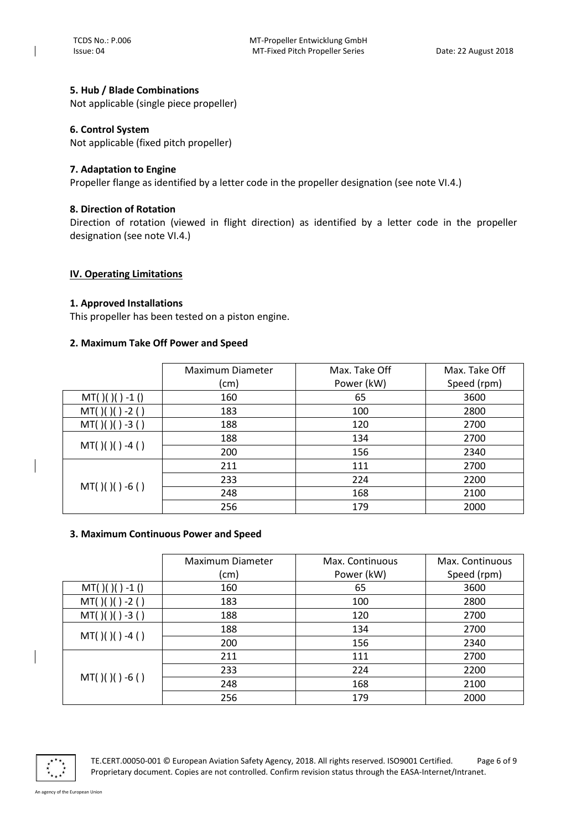#### <span id="page-5-0"></span>**5. Hub / Blade Combinations**

Not applicable (single piece propeller)

#### <span id="page-5-1"></span>**6. Control System**

Not applicable (fixed pitch propeller)

#### <span id="page-5-2"></span>**7. Adaptation to Engine**

Propeller flange as identified by a letter code in the propeller designation (see note VI.4.)

#### <span id="page-5-3"></span>**8. Direction of Rotation**

Direction of rotation (viewed in flight direction) as identified by a letter code in the propeller designation (see note VI.4.)

#### <span id="page-5-4"></span>**IV. Operating Limitations**

#### <span id="page-5-5"></span>**1. Approved Installations**

This propeller has been tested on a piston engine.

#### <span id="page-5-6"></span>**2. Maximum Take Off Power and Speed**

|                    | Maximum Diameter | Max. Take Off | Max. Take Off |
|--------------------|------------------|---------------|---------------|
|                    | (cm)             | Power (kW)    | Speed (rpm)   |
| $MT()()()() -1()$  | 160              | 65            | 3600          |
| $MT()()()$ -2 ()   | 183              | 100           | 2800          |
| MT()()() -3()      | 188              | 120           | 2700          |
| MT( $)()( )$ -4()  | 188              | 134           | 2700          |
|                    | 200              | 156           | 2340          |
|                    | 211              | 111           | 2700          |
| MT( )( )( ) -6 ( ) | 233              | 224           | 2200          |
|                    | 248              | 168           | 2100          |
|                    | 256              | 179           | 2000          |

#### <span id="page-5-7"></span>**3. Maximum Continuous Power and Speed**

|                    | Maximum Diameter | Max. Continuous | Max. Continuous |
|--------------------|------------------|-----------------|-----------------|
|                    | (cm)             | Power (kW)      | Speed (rpm)     |
| $MT()()()$ -1 ()   | 160              | 65              | 3600            |
| $MT()()()$ -2 ()   | 183              | 100             | 2800            |
| MT()()() -3()      | 188              | 120             | 2700            |
| MT( )( )( ) -4 ( ) | 188              | 134             | 2700            |
|                    | 200              | 156             | 2340            |
|                    | 211              | 111             | 2700            |
| MT( )( )( ) -6 ( ) | 233              | 224             | 2200            |
|                    | 248              | 168             | 2100            |
|                    | 256              | 179             | 2000            |



TE.CERT.00050-001 © European Aviation Safety Agency, 2018. All rights reserved. ISO9001 Certified. Page 6 of 9 Proprietary document. Copies are not controlled. Confirm revision status through the EASA-Internet/Intranet.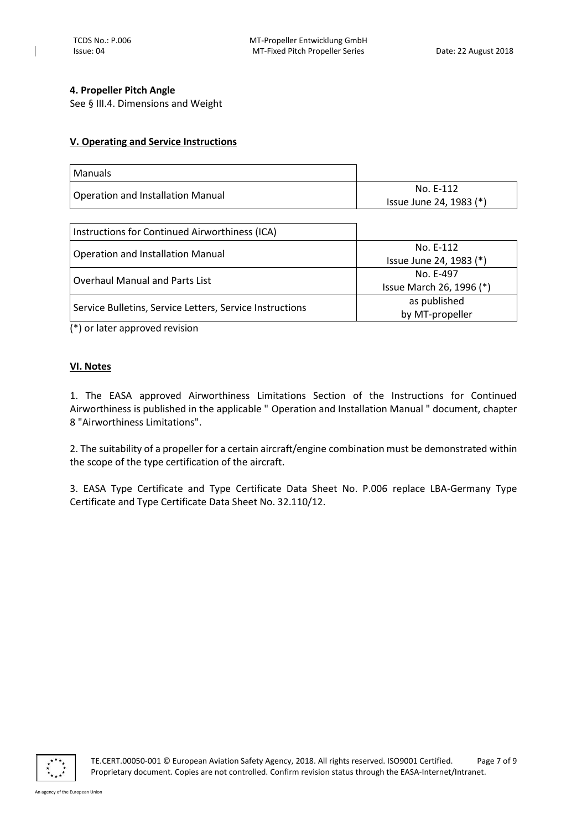#### <span id="page-6-0"></span>**4. Propeller Pitch Angle**

See § III.4. Dimensions and Weight

#### <span id="page-6-1"></span>**V. Operating and Service Instructions**

| Manuals                           |                         |
|-----------------------------------|-------------------------|
| Operation and Installation Manual | No. E-112               |
|                                   | Issue June 24, 1983 (*) |

| Instructions for Continued Airworthiness (ICA)           |                          |
|----------------------------------------------------------|--------------------------|
| <b>Operation and Installation Manual</b>                 | No. E-112                |
|                                                          | Issue June 24, 1983 (*)  |
|                                                          | No. E-497                |
| <b>Overhaul Manual and Parts List</b>                    | Issue March 26, 1996 (*) |
|                                                          | as published             |
| Service Bulletins, Service Letters, Service Instructions | by MT-propeller          |

(\*) or later approved revision

#### <span id="page-6-2"></span>**VI. Notes**

1. The EASA approved Airworthiness Limitations Section of the Instructions for Continued Airworthiness is published in the applicable " Operation and Installation Manual " document, chapter 8 "Airworthiness Limitations".

2. The suitability of a propeller for a certain aircraft/engine combination must be demonstrated within the scope of the type certification of the aircraft.

3. EASA Type Certificate and Type Certificate Data Sheet No. P.006 replace LBA-Germany Type Certificate and Type Certificate Data Sheet No. 32.110/12.

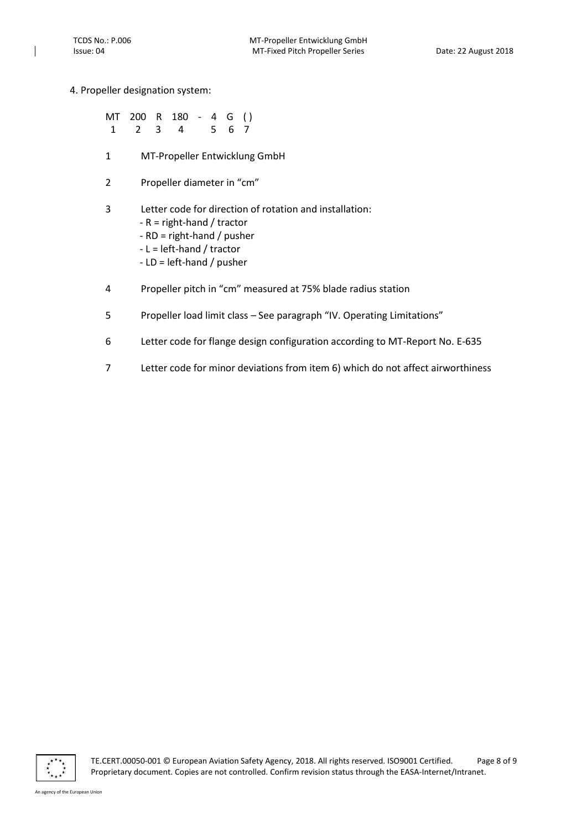4. Propeller designation system:

| MT 200 R 180 - 4 G ()       |  |  |       |
|-----------------------------|--|--|-------|
| $1 \quad 2 \quad 3 \quad 4$ |  |  | 5 6 7 |

- 1 MT-Propeller Entwicklung GmbH
- 2 Propeller diameter in "cm"

#### 3 Letter code for direction of rotation and installation:

- R = right-hand / tractor
- RD = right-hand / pusher
- L = left-hand / tractor
- LD = left-hand / pusher
- 4 Propeller pitch in "cm" measured at 75% blade radius station
- 5 Propeller load limit class See paragraph "IV. Operating Limitations"
- 6 Letter code for flange design configuration according to MT-Report No. E-635
- 7 Letter code for minor deviations from item 6) which do not affect airworthiness